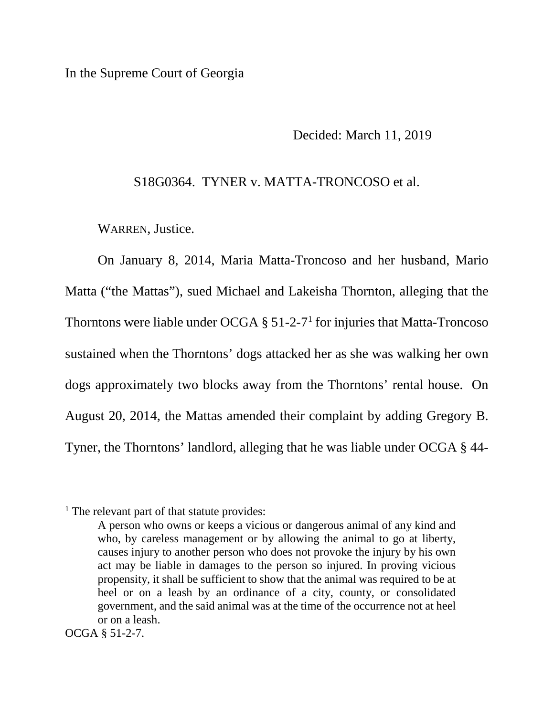In the Supreme Court of Georgia

Decided: March 11, 2019

S18G0364. TYNER v. MATTA-TRONCOSO et al.

WARREN, Justice.

On January 8, 2014, Maria Matta-Troncoso and her husband, Mario Matta ("the Mattas"), sued Michael and Lakeisha Thornton, alleging that the Thorntons were liable under OCGA  $\S$  51-2-7<sup>1</sup> for injuries that Matta-Troncoso sustained when the Thorntons' dogs attacked her as she was walking her own dogs approximately two blocks away from the Thorntons' rental house. On August 20, 2014, the Mattas amended their complaint by adding Gregory B. Tyner, the Thorntons' landlord, alleging that he was liable under OCGA § 44-

 $\overline{a}$ 

<sup>&</sup>lt;sup>1</sup> The relevant part of that statute provides:

A person who owns or keeps a vicious or dangerous animal of any kind and who, by careless management or by allowing the animal to go at liberty, causes injury to another person who does not provoke the injury by his own act may be liable in damages to the person so injured. In proving vicious propensity, it shall be sufficient to show that the animal was required to be at heel or on a leash by an ordinance of a city, county, or consolidated government, and the said animal was at the time of the occurrence not at heel or on a leash.

OCGA § 51-2-7.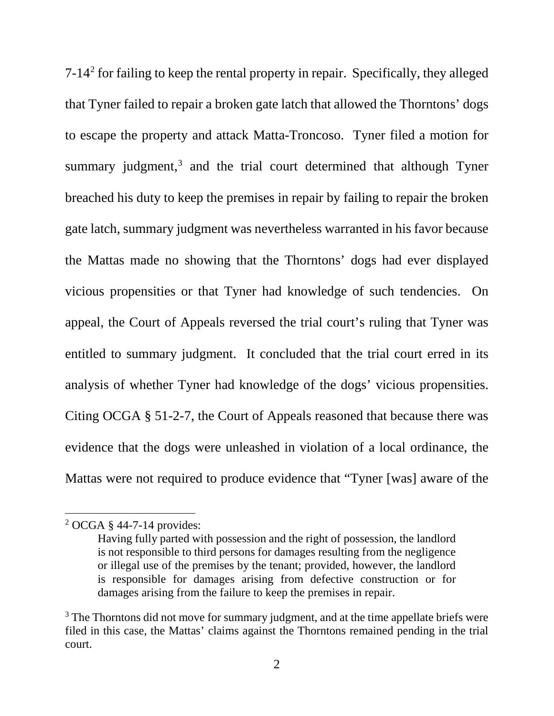7-142 for failing to keep the rental property in repair. Specifically, they alleged that Tyner failed to repair a broken gate latch that allowed the Thorntons' dogs to escape the property and attack Matta-Troncoso. Tyner filed a motion for summary judgment,<sup>3</sup> and the trial court determined that although Tyner breached his duty to keep the premises in repair by failing to repair the broken gate latch, summary judgment was nevertheless warranted in his favor because the Mattas made no showing that the Thorntons' dogs had ever displayed vicious propensities or that Tyner had knowledge of such tendencies. On appeal, the Court of Appeals reversed the trial court's ruling that Tyner was entitled to summary judgment. It concluded that the trial court erred in its analysis of whether Tyner had knowledge of the dogs' vicious propensities. Citing OCGA § 51-2-7, the Court of Appeals reasoned that because there was evidence that the dogs were unleashed in violation of a local ordinance, the Mattas were not required to produce evidence that "Tyner [was] aware of the

<sup>2</sup> OCGA § 44-7-14 provides:

Having fully parted with possession and the right of possession, the landlord is not responsible to third persons for damages resulting from the negligence or illegal use of the premises by the tenant; provided, however, the landlord is responsible for damages arising from defective construction or for damages arising from the failure to keep the premises in repair.

<sup>&</sup>lt;sup>3</sup> The Thorntons did not move for summary judgment, and at the time appellate briefs were filed in this case, the Mattas' claims against the Thorntons remained pending in the trial court.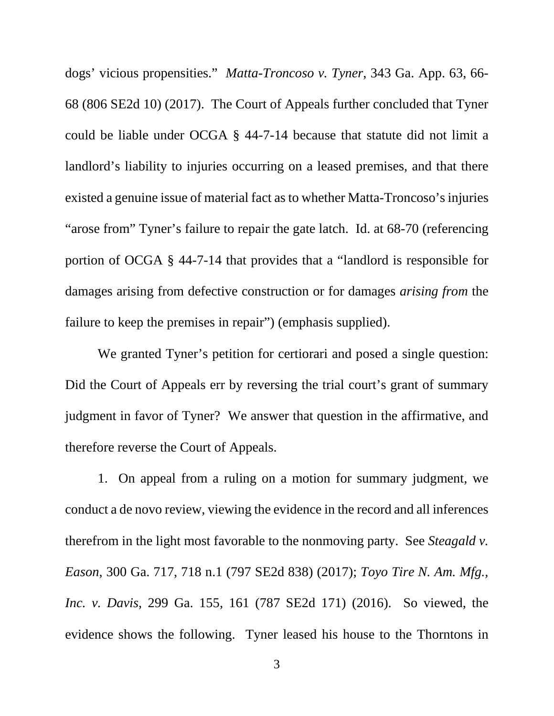dogs' vicious propensities." *Matta-Troncoso v. Tyner*, 343 Ga. App. 63, 66- 68 (806 SE2d 10) (2017). The Court of Appeals further concluded that Tyner could be liable under OCGA § 44-7-14 because that statute did not limit a landlord's liability to injuries occurring on a leased premises, and that there existed a genuine issue of material fact as to whether Matta-Troncoso's injuries "arose from" Tyner's failure to repair the gate latch. Id. at 68-70 (referencing portion of OCGA § 44-7-14 that provides that a "landlord is responsible for damages arising from defective construction or for damages *arising from* the failure to keep the premises in repair") (emphasis supplied).

We granted Tyner's petition for certiorari and posed a single question: Did the Court of Appeals err by reversing the trial court's grant of summary judgment in favor of Tyner? We answer that question in the affirmative, and therefore reverse the Court of Appeals.

1. On appeal from a ruling on a motion for summary judgment, we conduct a de novo review, viewing the evidence in the record and all inferences therefrom in the light most favorable to the nonmoving party. See *Steagald v. Eason*, 300 Ga. 717, 718 n.1 (797 SE2d 838) (2017); *Toyo Tire N. Am. Mfg., Inc. v. Davis*, 299 Ga. 155, 161 (787 SE2d 171) (2016). So viewed, the evidence shows the following. Tyner leased his house to the Thorntons in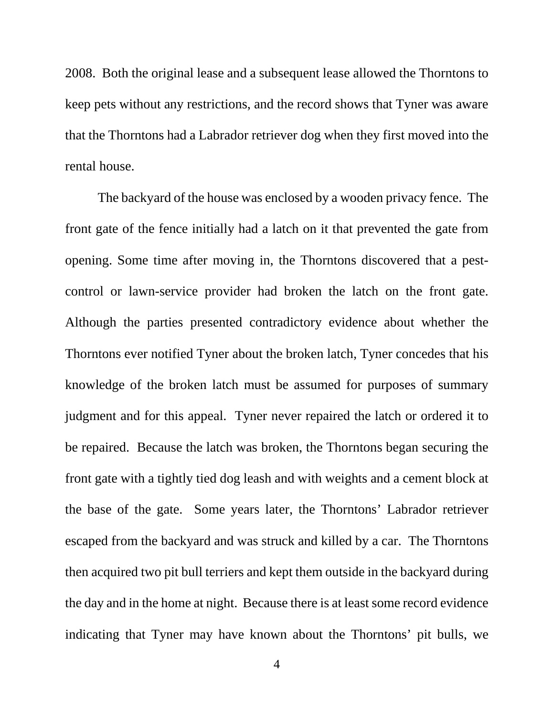2008. Both the original lease and a subsequent lease allowed the Thorntons to keep pets without any restrictions, and the record shows that Tyner was aware that the Thorntons had a Labrador retriever dog when they first moved into the rental house.

The backyard of the house was enclosed by a wooden privacy fence. The front gate of the fence initially had a latch on it that prevented the gate from opening. Some time after moving in, the Thorntons discovered that a pestcontrol or lawn-service provider had broken the latch on the front gate. Although the parties presented contradictory evidence about whether the Thorntons ever notified Tyner about the broken latch, Tyner concedes that his knowledge of the broken latch must be assumed for purposes of summary judgment and for this appeal. Tyner never repaired the latch or ordered it to be repaired. Because the latch was broken, the Thorntons began securing the front gate with a tightly tied dog leash and with weights and a cement block at the base of the gate. Some years later, the Thorntons' Labrador retriever escaped from the backyard and was struck and killed by a car. The Thorntons then acquired two pit bull terriers and kept them outside in the backyard during the day and in the home at night. Because there is at least some record evidence indicating that Tyner may have known about the Thorntons' pit bulls, we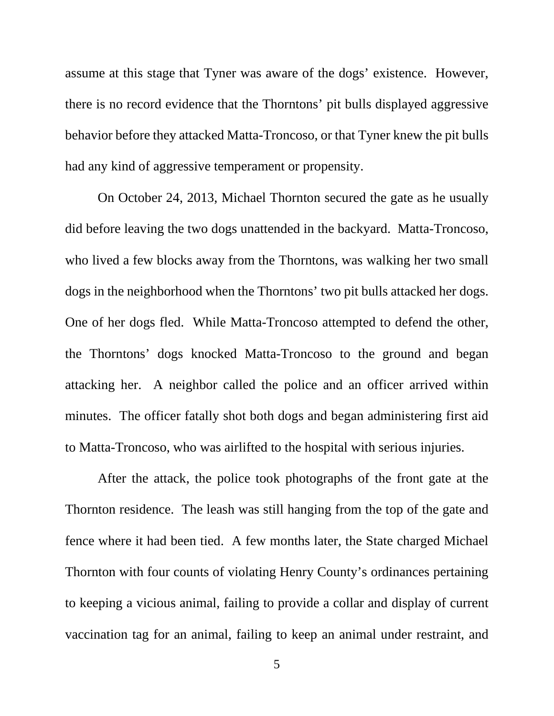assume at this stage that Tyner was aware of the dogs' existence. However, there is no record evidence that the Thorntons' pit bulls displayed aggressive behavior before they attacked Matta-Troncoso, or that Tyner knew the pit bulls had any kind of aggressive temperament or propensity.

On October 24, 2013, Michael Thornton secured the gate as he usually did before leaving the two dogs unattended in the backyard. Matta-Troncoso, who lived a few blocks away from the Thorntons, was walking her two small dogs in the neighborhood when the Thorntons' two pit bulls attacked her dogs. One of her dogs fled. While Matta-Troncoso attempted to defend the other, the Thorntons' dogs knocked Matta-Troncoso to the ground and began attacking her. A neighbor called the police and an officer arrived within minutes. The officer fatally shot both dogs and began administering first aid to Matta-Troncoso, who was airlifted to the hospital with serious injuries.

After the attack, the police took photographs of the front gate at the Thornton residence. The leash was still hanging from the top of the gate and fence where it had been tied. A few months later, the State charged Michael Thornton with four counts of violating Henry County's ordinances pertaining to keeping a vicious animal, failing to provide a collar and display of current vaccination tag for an animal, failing to keep an animal under restraint, and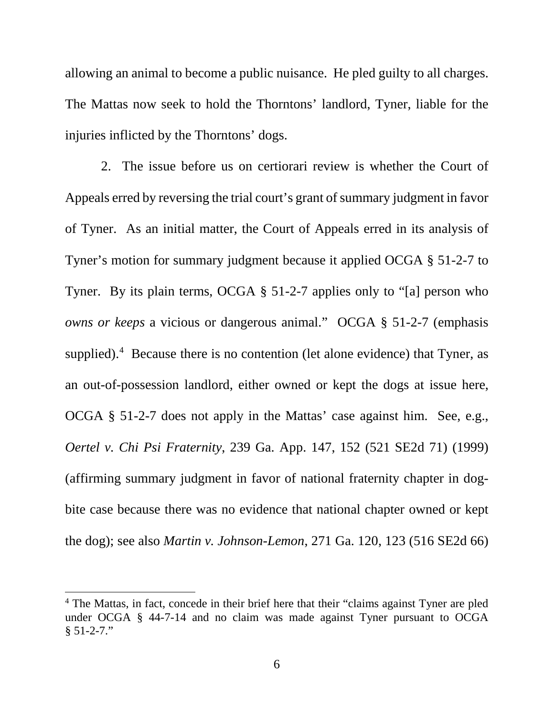allowing an animal to become a public nuisance. He pled guilty to all charges. The Mattas now seek to hold the Thorntons' landlord, Tyner, liable for the injuries inflicted by the Thorntons' dogs.

2. The issue before us on certiorari review is whether the Court of Appeals erred by reversing the trial court's grant of summary judgment in favor of Tyner. As an initial matter, the Court of Appeals erred in its analysis of Tyner's motion for summary judgment because it applied OCGA § 51-2-7 to Tyner. By its plain terms, OCGA § 51-2-7 applies only to "[a] person who *owns or keeps* a vicious or dangerous animal." OCGA § 51-2-7 (emphasis supplied).<sup>4</sup> Because there is no contention (let alone evidence) that Tyner, as an out-of-possession landlord, either owned or kept the dogs at issue here, OCGA § 51-2-7 does not apply in the Mattas' case against him. See, e.g., *Oertel v. Chi Psi Fraternity*, 239 Ga. App. 147, 152 (521 SE2d 71) (1999) (affirming summary judgment in favor of national fraternity chapter in dogbite case because there was no evidence that national chapter owned or kept the dog); see also *Martin v. Johnson-Lemon*, 271 Ga. 120, 123 (516 SE2d 66)

<sup>&</sup>lt;sup>4</sup> The Mattas, in fact, concede in their brief here that their "claims against Tyner are pled under OCGA § 44-7-14 and no claim was made against Tyner pursuant to OCGA  $§ 51-2-7."$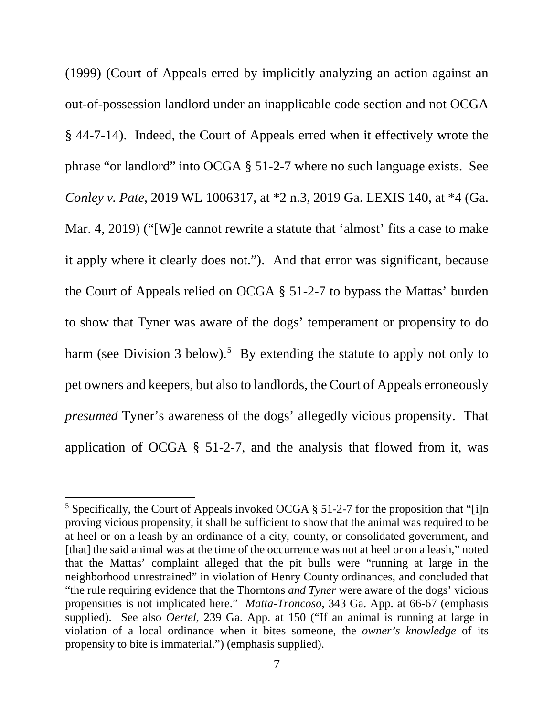(1999) (Court of Appeals erred by implicitly analyzing an action against an out-of-possession landlord under an inapplicable code section and not OCGA § 44-7-14). Indeed, the Court of Appeals erred when it effectively wrote the phrase "or landlord" into OCGA § 51-2-7 where no such language exists. See *Conley v. Pate*, 2019 WL 1006317, at \*2 n.3, 2019 Ga. LEXIS 140, at \*4 (Ga. Mar. 4, 2019) ("[W]e cannot rewrite a statute that 'almost' fits a case to make it apply where it clearly does not."). And that error was significant, because the Court of Appeals relied on OCGA § 51-2-7 to bypass the Mattas' burden to show that Tyner was aware of the dogs' temperament or propensity to do harm (see Division 3 below).<sup>5</sup> By extending the statute to apply not only to pet owners and keepers, but also to landlords, the Court of Appeals erroneously *presumed* Tyner's awareness of the dogs' allegedly vicious propensity. That application of OCGA § 51-2-7, and the analysis that flowed from it, was

<sup>&</sup>lt;sup>5</sup> Specifically, the Court of Appeals invoked OCGA § 51-2-7 for the proposition that "[i]n proving vicious propensity, it shall be sufficient to show that the animal was required to be at heel or on a leash by an ordinance of a city, county, or consolidated government, and [that] the said animal was at the time of the occurrence was not at heel or on a leash," noted that the Mattas' complaint alleged that the pit bulls were "running at large in the neighborhood unrestrained" in violation of Henry County ordinances, and concluded that "the rule requiring evidence that the Thorntons *and Tyner* were aware of the dogs' vicious propensities is not implicated here." *Matta-Troncoso*, 343 Ga. App. at 66-67 (emphasis supplied). See also *Oertel*, 239 Ga. App. at 150 ("If an animal is running at large in violation of a local ordinance when it bites someone, the *owner's knowledge* of its propensity to bite is immaterial.") (emphasis supplied).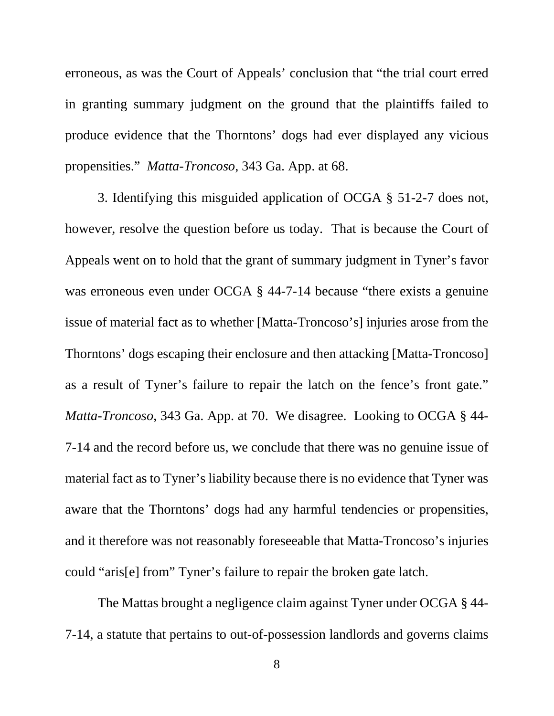erroneous, as was the Court of Appeals' conclusion that "the trial court erred in granting summary judgment on the ground that the plaintiffs failed to produce evidence that the Thorntons' dogs had ever displayed any vicious propensities." *Matta-Troncoso*, 343 Ga. App. at 68.

3. Identifying this misguided application of OCGA § 51-2-7 does not, however, resolve the question before us today. That is because the Court of Appeals went on to hold that the grant of summary judgment in Tyner's favor was erroneous even under OCGA § 44-7-14 because "there exists a genuine" issue of material fact as to whether [Matta-Troncoso's] injuries arose from the Thorntons' dogs escaping their enclosure and then attacking [Matta-Troncoso] as a result of Tyner's failure to repair the latch on the fence's front gate." *Matta-Troncoso*, 343 Ga. App. at 70. We disagree. Looking to OCGA § 44- 7-14 and the record before us, we conclude that there was no genuine issue of material fact as to Tyner's liability because there is no evidence that Tyner was aware that the Thorntons' dogs had any harmful tendencies or propensities, and it therefore was not reasonably foreseeable that Matta-Troncoso's injuries could "aris[e] from" Tyner's failure to repair the broken gate latch.

The Mattas brought a negligence claim against Tyner under OCGA § 44- 7-14, a statute that pertains to out-of-possession landlords and governs claims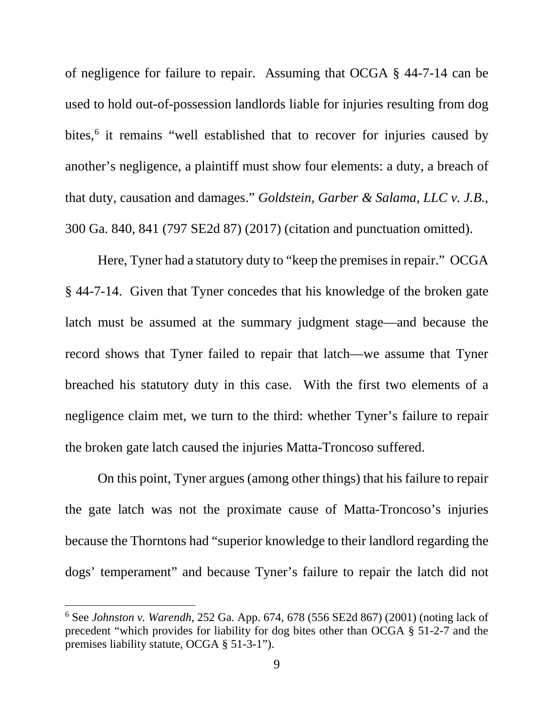of negligence for failure to repair. Assuming that OCGA § 44-7-14 can be used to hold out-of-possession landlords liable for injuries resulting from dog bites, 6 it remains "well established that to recover for injuries caused by another's negligence, a plaintiff must show four elements: a duty, a breach of that duty, causation and damages." *Goldstein, Garber & Salama, LLC v. J.B.*, 300 Ga. 840, 841 (797 SE2d 87) (2017) (citation and punctuation omitted).

Here, Tyner had a statutory duty to "keep the premises in repair." OCGA § 44-7-14. Given that Tyner concedes that his knowledge of the broken gate latch must be assumed at the summary judgment stage—and because the record shows that Tyner failed to repair that latch—we assume that Tyner breached his statutory duty in this case. With the first two elements of a negligence claim met, we turn to the third: whether Tyner's failure to repair the broken gate latch caused the injuries Matta-Troncoso suffered.

On this point, Tyner argues (among other things) that his failure to repair the gate latch was not the proximate cause of Matta-Troncoso's injuries because the Thorntons had "superior knowledge to their landlord regarding the dogs' temperament" and because Tyner's failure to repair the latch did not

l

<sup>6</sup> See *Johnston v. Warendh*, 252 Ga. App. 674, 678 (556 SE2d 867) (2001) (noting lack of precedent "which provides for liability for dog bites other than OCGA § 51-2-7 and the premises liability statute, OCGA § 51-3-1").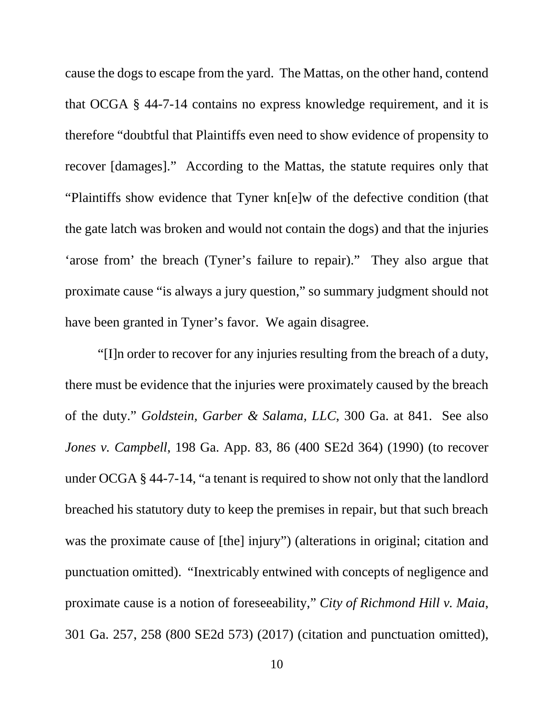cause the dogs to escape from the yard. The Mattas, on the other hand, contend that OCGA § 44-7-14 contains no express knowledge requirement, and it is therefore "doubtful that Plaintiffs even need to show evidence of propensity to recover [damages]." According to the Mattas, the statute requires only that "Plaintiffs show evidence that Tyner kn[e]w of the defective condition (that the gate latch was broken and would not contain the dogs) and that the injuries 'arose from' the breach (Tyner's failure to repair)." They also argue that proximate cause "is always a jury question," so summary judgment should not have been granted in Tyner's favor. We again disagree.

"[I]n order to recover for any injuries resulting from the breach of a duty, there must be evidence that the injuries were proximately caused by the breach of the duty." *Goldstein, Garber & Salama, LLC*, 300 Ga. at 841. See also *Jones v. Campbell*, 198 Ga. App. 83, 86 (400 SE2d 364) (1990) (to recover under OCGA § 44-7-14, "a tenant is required to show not only that the landlord breached his statutory duty to keep the premises in repair, but that such breach was the proximate cause of [the] injury") (alterations in original; citation and punctuation omitted). "Inextricably entwined with concepts of negligence and proximate cause is a notion of foreseeability," *City of Richmond Hill v. Maia*, 301 Ga. 257, 258 (800 SE2d 573) (2017) (citation and punctuation omitted),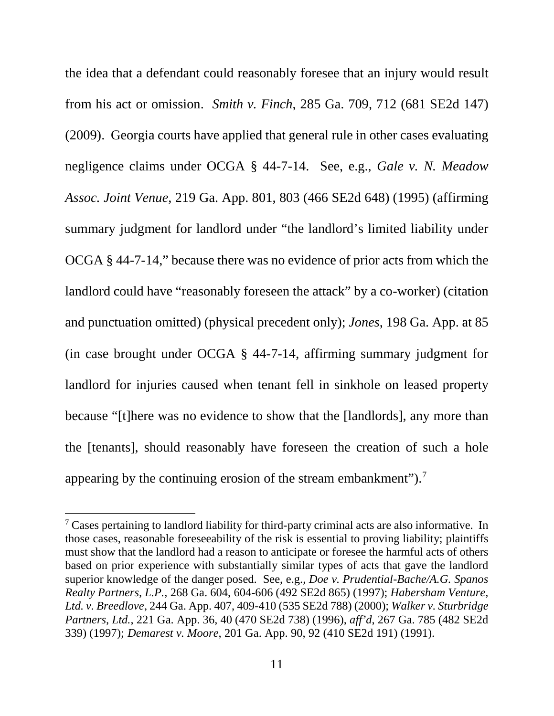the idea that a defendant could reasonably foresee that an injury would result from his act or omission. *Smith v. Finch*, 285 Ga. 709, 712 (681 SE2d 147) (2009). Georgia courts have applied that general rule in other cases evaluating negligence claims under OCGA § 44-7-14. See, e.g., *Gale v. N. Meadow Assoc. Joint Venue*, 219 Ga. App. 801, 803 (466 SE2d 648) (1995) (affirming summary judgment for landlord under "the landlord's limited liability under OCGA § 44-7-14," because there was no evidence of prior acts from which the landlord could have "reasonably foreseen the attack" by a co-worker) (citation and punctuation omitted) (physical precedent only); *Jones*, 198 Ga. App. at 85 (in case brought under OCGA § 44-7-14, affirming summary judgment for landlord for injuries caused when tenant fell in sinkhole on leased property because "[t]here was no evidence to show that the [landlords], any more than the [tenants], should reasonably have foreseen the creation of such a hole appearing by the continuing erosion of the stream embankment").<sup>7</sup>

<sup>&</sup>lt;sup>7</sup> Cases pertaining to landlord liability for third-party criminal acts are also informative. In those cases, reasonable foreseeability of the risk is essential to proving liability; plaintiffs must show that the landlord had a reason to anticipate or foresee the harmful acts of others based on prior experience with substantially similar types of acts that gave the landlord superior knowledge of the danger posed. See, e.g., *Doe v. Prudential-Bache/A.G. Spanos Realty Partners, L.P.*, 268 Ga. 604, 604-606 (492 SE2d 865) (1997); *Habersham Venture, Ltd. v. Breedlove*, 244 Ga. App. 407, 409-410 (535 SE2d 788) (2000); *Walker v. Sturbridge Partners, Ltd.*, 221 Ga. App. 36, 40 (470 SE2d 738) (1996), *aff'd*, 267 Ga. 785 (482 SE2d 339) (1997); *Demarest v. Moore*, 201 Ga. App. 90, 92 (410 SE2d 191) (1991).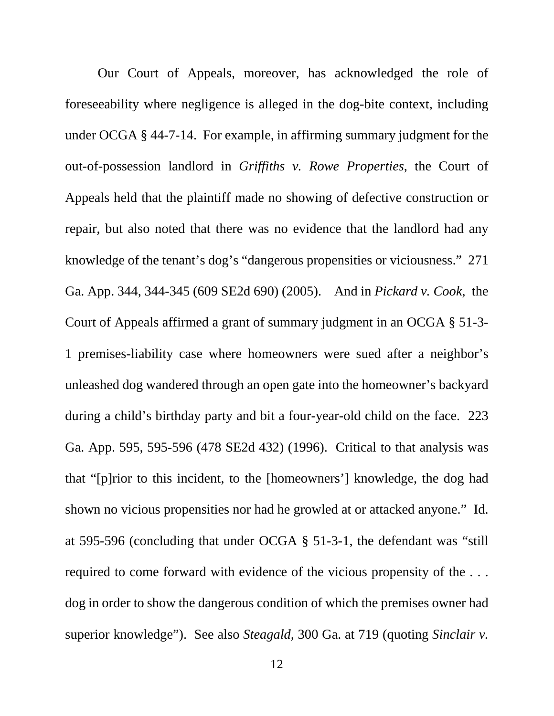Our Court of Appeals, moreover, has acknowledged the role of foreseeability where negligence is alleged in the dog-bite context, including under OCGA § 44-7-14. For example, in affirming summary judgment for the out-of-possession landlord in *Griffiths v. Rowe Properties*, the Court of Appeals held that the plaintiff made no showing of defective construction or repair, but also noted that there was no evidence that the landlord had any knowledge of the tenant's dog's "dangerous propensities or viciousness." 271 Ga. App. 344, 344-345 (609 SE2d 690) (2005). And in *Pickard v. Cook*, the Court of Appeals affirmed a grant of summary judgment in an OCGA § 51-3- 1 premises-liability case where homeowners were sued after a neighbor's unleashed dog wandered through an open gate into the homeowner's backyard during a child's birthday party and bit a four-year-old child on the face. 223 Ga. App. 595, 595-596 (478 SE2d 432) (1996). Critical to that analysis was that "[p]rior to this incident, to the [homeowners'] knowledge, the dog had shown no vicious propensities nor had he growled at or attacked anyone." Id. at 595-596 (concluding that under OCGA § 51-3-1, the defendant was "still required to come forward with evidence of the vicious propensity of the . . . dog in order to show the dangerous condition of which the premises owner had superior knowledge"). See also *Steagald*, 300 Ga. at 719 (quoting *Sinclair v.*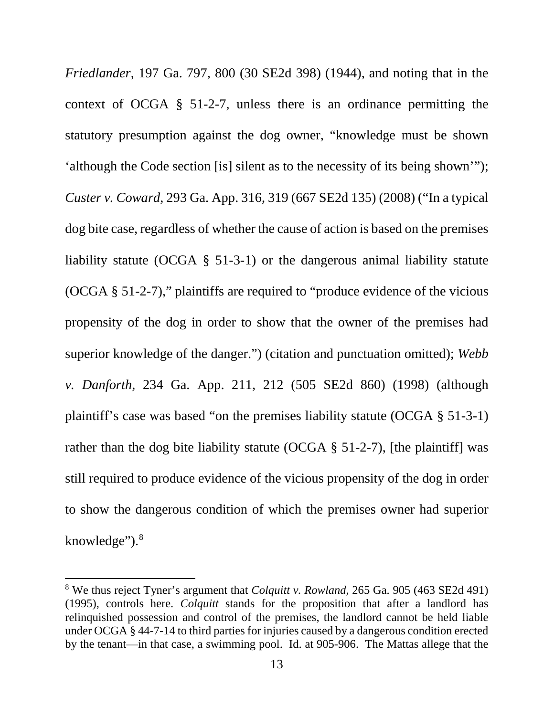*Friedlander*, 197 Ga. 797, 800 (30 SE2d 398) (1944), and noting that in the context of OCGA § 51-2-7, unless there is an ordinance permitting the statutory presumption against the dog owner, "knowledge must be shown 'although the Code section [is] silent as to the necessity of its being shown'"); *Custer v. Coward*, 293 Ga. App. 316, 319 (667 SE2d 135) (2008) ("In a typical dog bite case, regardless of whether the cause of action is based on the premises liability statute (OCGA § 51-3-1) or the dangerous animal liability statute (OCGA § 51-2-7)," plaintiffs are required to "produce evidence of the vicious propensity of the dog in order to show that the owner of the premises had superior knowledge of the danger.") (citation and punctuation omitted); *Webb v. Danforth*, 234 Ga. App. 211, 212 (505 SE2d 860) (1998) (although plaintiff's case was based "on the premises liability statute (OCGA § 51-3-1) rather than the dog bite liability statute (OCGA § 51-2-7), [the plaintiff] was still required to produce evidence of the vicious propensity of the dog in order to show the dangerous condition of which the premises owner had superior knowledge").<sup>8</sup>

<sup>8</sup> We thus reject Tyner's argument that *Colquitt v. Rowland*, 265 Ga. 905 (463 SE2d 491) (1995), controls here. *Colquitt* stands for the proposition that after a landlord has relinquished possession and control of the premises, the landlord cannot be held liable under OCGA § 44-7-14 to third parties for injuries caused by a dangerous condition erected by the tenant—in that case, a swimming pool. Id. at 905-906. The Mattas allege that the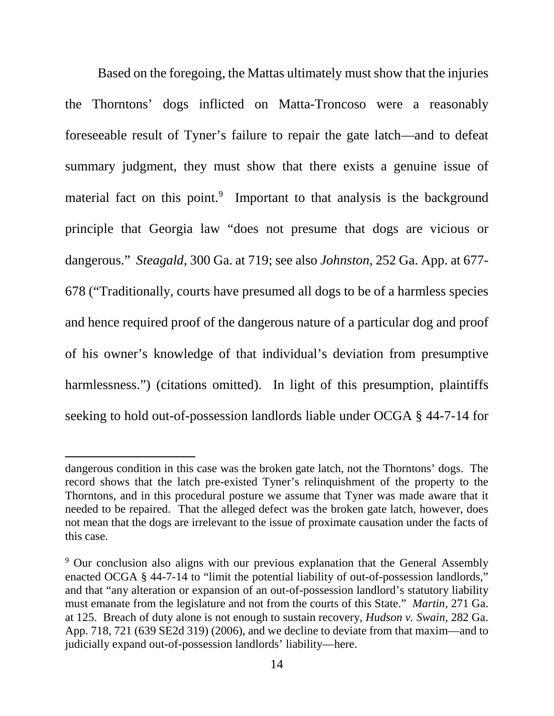Based on the foregoing, the Mattas ultimately must show that the injuries the Thorntons' dogs inflicted on Matta-Troncoso were a reasonably foreseeable result of Tyner's failure to repair the gate latch—and to defeat summary judgment, they must show that there exists a genuine issue of material fact on this point.<sup>9</sup> Important to that analysis is the background principle that Georgia law "does not presume that dogs are vicious or dangerous." *Steagald*, 300 Ga. at 719; see also *Johnston*, 252 Ga. App. at 677- 678 ("Traditionally, courts have presumed all dogs to be of a harmless species and hence required proof of the dangerous nature of a particular dog and proof of his owner's knowledge of that individual's deviation from presumptive harmlessness.") (citations omitted). In light of this presumption, plaintiffs seeking to hold out-of-possession landlords liable under OCGA § 44-7-14 for

 $\overline{a}$ 

dangerous condition in this case was the broken gate latch, not the Thorntons' dogs. The record shows that the latch pre-existed Tyner's relinquishment of the property to the Thorntons, and in this procedural posture we assume that Tyner was made aware that it needed to be repaired. That the alleged defect was the broken gate latch, however, does not mean that the dogs are irrelevant to the issue of proximate causation under the facts of this case.

<sup>&</sup>lt;sup>9</sup> Our conclusion also aligns with our previous explanation that the General Assembly enacted OCGA § 44-7-14 to "limit the potential liability of out-of-possession landlords," and that "any alteration or expansion of an out-of-possession landlord's statutory liability must emanate from the legislature and not from the courts of this State." *Martin*, 271 Ga. at 125. Breach of duty alone is not enough to sustain recovery, *Hudson v. Swain*, 282 Ga. App. 718, 721 (639 SE2d 319) (2006), and we decline to deviate from that maxim—and to judicially expand out-of-possession landlords' liability—here.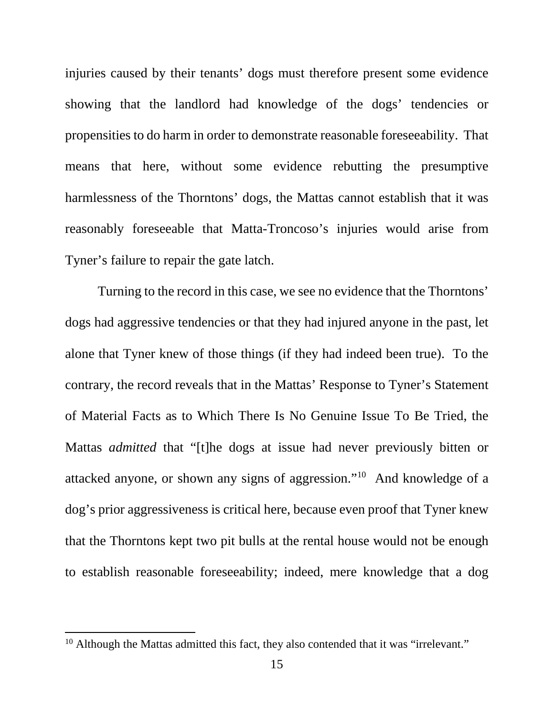injuries caused by their tenants' dogs must therefore present some evidence showing that the landlord had knowledge of the dogs' tendencies or propensities to do harm in order to demonstrate reasonable foreseeability. That means that here, without some evidence rebutting the presumptive harmlessness of the Thorntons' dogs, the Mattas cannot establish that it was reasonably foreseeable that Matta-Troncoso's injuries would arise from Tyner's failure to repair the gate latch.

Turning to the record in this case, we see no evidence that the Thorntons' dogs had aggressive tendencies or that they had injured anyone in the past, let alone that Tyner knew of those things (if they had indeed been true). To the contrary, the record reveals that in the Mattas' Response to Tyner's Statement of Material Facts as to Which There Is No Genuine Issue To Be Tried, the Mattas *admitted* that "[t]he dogs at issue had never previously bitten or attacked anyone, or shown any signs of aggression."10 And knowledge of a dog's prior aggressiveness is critical here, because even proof that Tyner knew that the Thorntons kept two pit bulls at the rental house would not be enough to establish reasonable foreseeability; indeed, mere knowledge that a dog

 $\overline{a}$ 

 $10$  Although the Mattas admitted this fact, they also contended that it was "irrelevant."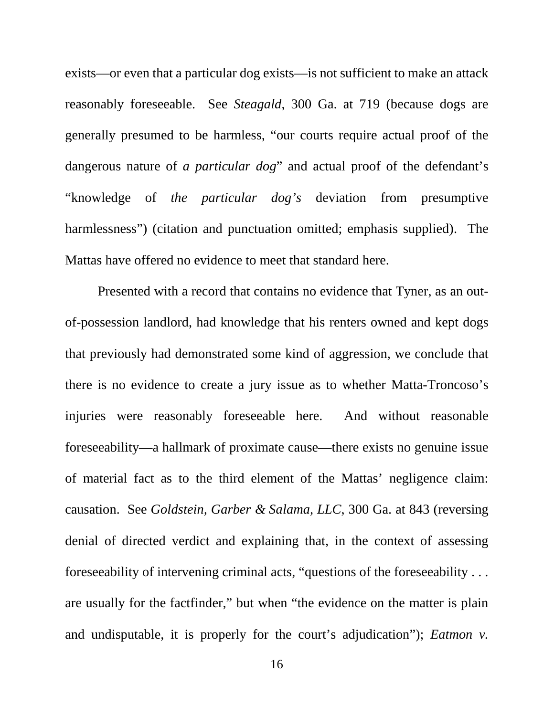exists—or even that a particular dog exists—is not sufficient to make an attack reasonably foreseeable. See *Steagald*, 300 Ga. at 719 (because dogs are generally presumed to be harmless, "our courts require actual proof of the dangerous nature of *a particular dog*" and actual proof of the defendant's "knowledge of *the particular dog's* deviation from presumptive harmlessness") (citation and punctuation omitted; emphasis supplied). The Mattas have offered no evidence to meet that standard here.

Presented with a record that contains no evidence that Tyner, as an outof-possession landlord, had knowledge that his renters owned and kept dogs that previously had demonstrated some kind of aggression, we conclude that there is no evidence to create a jury issue as to whether Matta-Troncoso's injuries were reasonably foreseeable here. And without reasonable foreseeability—a hallmark of proximate cause—there exists no genuine issue of material fact as to the third element of the Mattas' negligence claim: causation. See *Goldstein, Garber & Salama, LLC*, 300 Ga. at 843 (reversing denial of directed verdict and explaining that, in the context of assessing foreseeability of intervening criminal acts, "questions of the foreseeability . . . are usually for the factfinder," but when "the evidence on the matter is plain and undisputable, it is properly for the court's adjudication"); *Eatmon v.*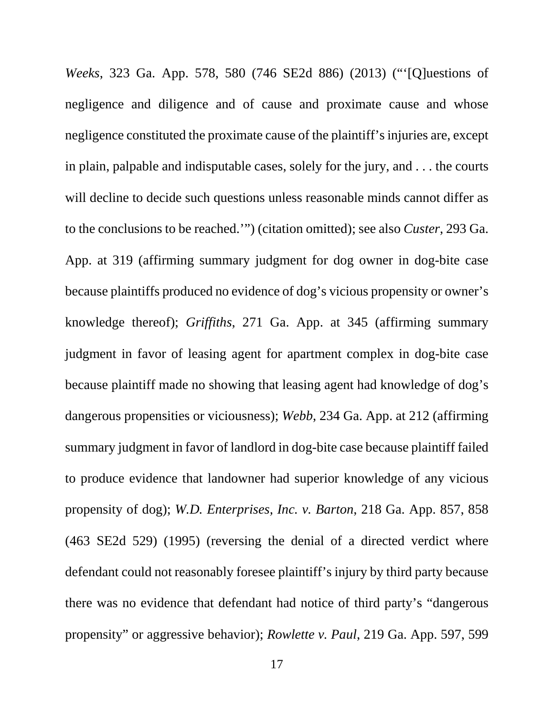*Weeks*, 323 Ga. App. 578, 580 (746 SE2d 886) (2013) ("'[Q]uestions of negligence and diligence and of cause and proximate cause and whose negligence constituted the proximate cause of the plaintiff's injuries are, except in plain, palpable and indisputable cases, solely for the jury, and . . . the courts will decline to decide such questions unless reasonable minds cannot differ as to the conclusions to be reached.'") (citation omitted); see also *Custer*, 293 Ga. App. at 319 (affirming summary judgment for dog owner in dog-bite case because plaintiffs produced no evidence of dog's vicious propensity or owner's knowledge thereof); *Griffiths*, 271 Ga. App. at 345 (affirming summary judgment in favor of leasing agent for apartment complex in dog-bite case because plaintiff made no showing that leasing agent had knowledge of dog's dangerous propensities or viciousness); *Webb*, 234 Ga. App. at 212 (affirming summary judgment in favor of landlord in dog-bite case because plaintiff failed to produce evidence that landowner had superior knowledge of any vicious propensity of dog); *W.D. Enterprises, Inc. v. Barton*, 218 Ga. App. 857, 858 (463 SE2d 529) (1995) (reversing the denial of a directed verdict where defendant could not reasonably foresee plaintiff's injury by third party because there was no evidence that defendant had notice of third party's "dangerous propensity" or aggressive behavior); *Rowlette v. Paul*, 219 Ga. App. 597, 599